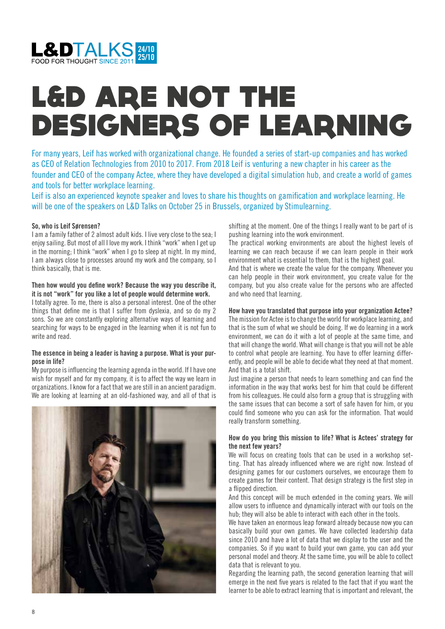

# L&D ARE NOT THE DESIGNERS OF LEARNING

For many years, Leif has worked with organizational change. He founded a series of start-up companies and has worked as CEO of Relation Technologies from 2010 to 2017. From 2018 Leif is venturing a new chapter in his career as the founder and CEO of the company Actee, where they have developed a digital simulation hub, and create a world of games and tools for better workplace learning.

Leif is also an experienced keynote speaker and loves to share his thoughts on gamification and workplace learning. He will be one of the speakers on L&D Talks on October 25 in Brussels, organized by Stimulearning.

# **So, who is Leif Sørensen?**

I am a family father of 2 almost adult kids. I live very close to the sea; I enjoy sailing. But most of all I love my work. I think "work" when I get up in the morning; I think "work" when I go to sleep at night. In my mind, I am always close to processes around my work and the company, so I think basically, that is me.

#### **Then how would you define work? Because the way you describe it, it is not "work" for you like a lot of people would determine work.**

I totally agree. To me, there is also a personal interest. One of the other things that define me is that I suffer from dyslexia, and so do my 2 sons. So we are constantly exploring alternative ways of learning and searching for ways to be engaged in the learning when it is not fun to write and read.

#### **The essence in being a leader is having a purpose. What is your purpose in life?**

My purpose is influencing the learning agenda in the world. If I have one wish for myself and for my company, it is to affect the way we learn in organizations. I know for a fact that we are still in an ancient paradigm. We are looking at learning at an old-fashioned way, and all of that is



shifting at the moment. One of the things I really want to be part of is pushing learning into the work environment.

The practical working environments are about the highest levels of learning we can reach because if we can learn people in their work environment what is essential to them, that is the highest goal.

And that is where we create the value for the company. Whenever you can help people in their work environment, you create value for the company, but you also create value for the persons who are affected and who need that learning.

#### **How have you translated that purpose into your organization Actee?**

The mission for Actee is to change the world for workplace learning, and that is the sum of what we should be doing. If we do learning in a work environment, we can do it with a lot of people at the same time, and that will change the world. What will change is that you will not be able to control what people are learning. You have to offer learning differently, and people will be able to decide what they need at that moment. And that is a total shift.

Just imagine a person that needs to learn something and can find the information in the way that works best for him that could be different from his colleagues. He could also form a group that is struggling with the same issues that can become a sort of safe haven for him, or you could find someone who you can ask for the information. That would really transform something.

# **How do you bring this mission to life? What is Actees' strategy for the next few years?**

We will focus on creating tools that can be used in a workshop setting. That has already influenced where we are right now. Instead of designing games for our customers ourselves, we encourage them to create games for their content. That design strategy is the first step in a flipped direction.

And this concept will be much extended in the coming years. We will allow users to influence and dynamically interact with our tools on the hub; they will also be able to interact with each other in the tools.

We have taken an enormous leap forward already because now you can basically build your own games. We have collected leadership data since 2010 and have a lot of data that we display to the user and the companies. So if you want to build your own game, you can add your personal model and theory. At the same time, you will be able to collect data that is relevant to you.

Regarding the learning path, the second generation learning that will emerge in the next five years is related to the fact that if you want the learner to be able to extract learning that is important and relevant, the